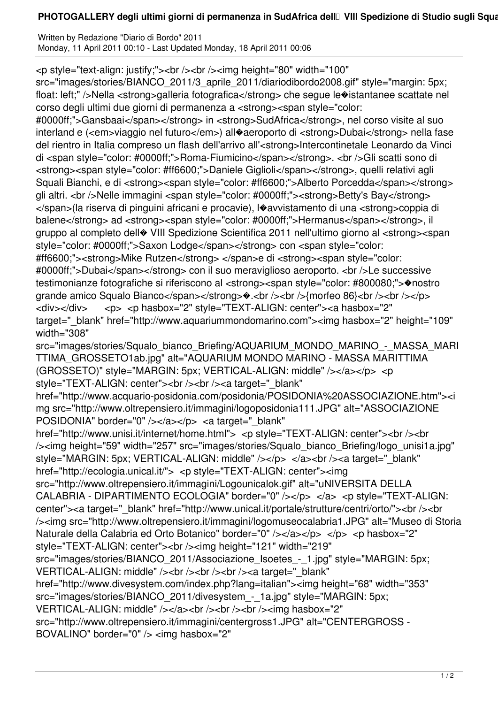## **PHOTOGALLERY degli ultimi giorni di permanenza in SudAfrica dell** VIII Spedizione di Studio sugli Squa

Written by Redazione "Diario di Bordo" 2011 Monday, 11 April 2011 00:10 - Last Updated Monday, 18 April 2011 00:06

<p style="text-align: justify;"><br /><br /><img height="80" width="100"

src="images/stories/BIANCO\_2011/3\_aprile\_2011/diariodibordo2008.gif" style="margin: 5px; float: left;" />Nella <strong>galleria fotografica</strong> che segue le�istantanee scattate nel corso degli ultimi due giorni di permanenza a <strong><span style="color:

#0000ff;">Gansbaai</span></strong> in <strong>SudAfrica</strong>, nel corso visite al suo interland e (<em>viaggio nel futuro</em>) all�aeroporto di <strong>Dubai</strong> nella fase del rientro in Italia compreso un flash dell'arrivo all'<strong>Intercontinetale Leonardo da Vinci di <span style="color: #0000ff;">Roma-Fiumicino</span></strong>. <br />Gli scatti sono di <strong><span style="color: #ff6600;">Daniele Giglioli</span></strong>, quelli relativi agli Squali Bianchi, e di <strong><span style="color: #ff6600;">Alberto Porcedda</span></strong> gli altri. <br />Nelle immagini <span style="color: #0000ff;"><strong>Betty's Bay</strong> </span>(la riserva di pinguini africani e procavie), l�avvistamento di una <strong>coppia di balene</strong> ad <strong><span style="color: #0000ff;">Hermanus</span></strong>, il gruppo al completo dell� VIII Spedizione Scientifica 2011 nell'ultimo giorno al <strong><span style="color: #0000ff;">Saxon Lodge</span></strong> con <span style="color:

#ff6600;"><strong>Mike Rutzen</strong> </span>e di <strong><span style="color: #0000ff;">Dubai</span></strong> con il suo meraviglioso aeroporto. <br />>>/>>Le successive testimonianze fotografiche si riferiscono al <strong><span style="color: #800080;">�nostro grande amico Squalo Bianco</span></strong> $\bullet$ .<br/> $\bullet$  />> $\bullet$  /> $\bullet$  />{morfeo 86}<br/>\eduction-<div></div> <p> <p hasbox="2" style="TEXT-ALIGN: center"><a hasbox="2" target="\_blank" href="http://www.aquariummondomarino.com"><img hasbox="2" height="109"

width="308"

src="images/stories/Squalo\_bianco\_Briefing/AQUARIUM\_MONDO\_MARINO\_-\_MASSA\_MARI TTIMA\_GROSSETO1ab.jpg" alt="AQUARIUM MONDO MARINO - MASSA MARITTIMA (GROSSETO)" style="MARGIN: 5px; VERTICAL-ALIGN: middle" /></a></p> <p style="TEXT-ALIGN: center"><br />>> /><br />><a target="\_blank"

href="http://www.acquario-posidonia.com/posidonia/POSIDONIA%20ASSOCIAZIONE.htm"><i mg src="http://www.oltrepensiero.it/immagini/logoposidonia111.JPG" alt="ASSOCIAZIONE POSIDONIA" border="0" /></a></p> <a target=" blank"

href="http://www.unisi.it/internet/home.html"> <p style="TEXT-ALIGN: center"><br />>/> /><img height="59" width="257" src="images/stories/Squalo\_bianco\_Briefing/logo\_unisi1a.jpg" style="MARGIN: 5px; VERTICAL-ALIGN: middle" /></p> </a> </a><br />> />><a target=" blank" href="http://ecologia.unical.it/"> <p style="TEXT-ALIGN: center"><img

src="http://www.oltrepensiero.it/immagini/Logounicalok.gif" alt="uNIVERSITA DELLA CALABRIA - DIPARTIMENTO ECOLOGIA" border="0" /></p> </a> <p style="TEXT-ALIGN: center"><a target="\_blank" href="http://www.unical.it/portale/strutture/centri/orto/"><br />> /><img src="http://www.oltrepensiero.it/immagini/logomuseocalabria1.JPG" alt="Museo di Storia Naturale della Calabria ed Orto Botanico" border="0" /></a></p> </p> </p> <p hasbox="2" style="TEXT-ALIGN: center"><br /><img height="121" width="219"

src="images/stories/BIANCO\_2011/Associazione\_Isoetes\_-\_1.jpg" style="MARGIN: 5px; VERTICAL-ALIGN: middle" /><br />br /><br />br /><a target="\_blank"

href="http://www.divesystem.com/index.php?lang=italian"><img height="68" width="353" src="images/stories/BIANCO\_2011/divesystem\_-\_1a.jpg" style="MARGIN: 5px;

VERTICAL-ALIGN: middle" /></a></br />>/a><br />>/>/></pr />>/img hasbox="2"

src="http://www.oltrepensiero.it/immagini/centergross1.JPG" alt="CENTERGROSS -

BOVALINO" border="0" /> <img hasbox="2"